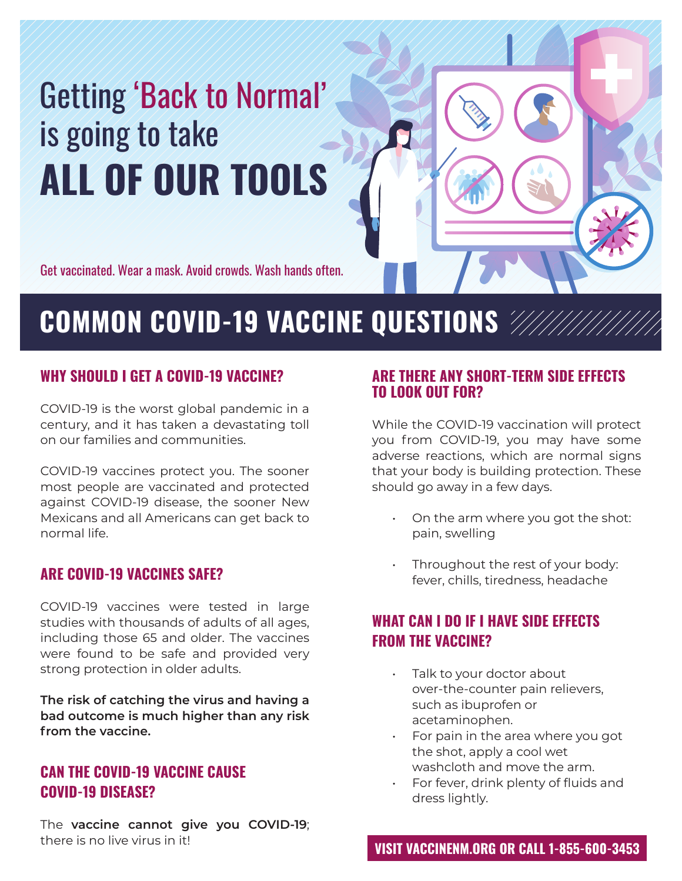# **ALL OF OUR TOOLS** Getting 'Back to Normal' is going to take

Get vaccinated. Wear a mask. Avoid crowds. Wash hands often.

# **COMMON COVID-19 VACCINE QUESTIONS**

#### **WHY SHOULD I GET A COVID-19 VACCINE?**

COVID-19 is the worst global pandemic in a century, and it has taken a devastating toll on our families and communities.

COVID-19 vaccines protect you. The sooner most people are vaccinated and protected against COVID-19 disease, the sooner New Mexicans and all Americans can get back to normal life.

# **ARE COVID-19 VACCINES SAFE?**

COVID-19 vaccines were tested in large studies with thousands of adults of all ages, including those 65 and older. The vaccines were found to be safe and provided very strong protection in older adults.

**The risk of catching the virus and having a bad outcome is much higher than any risk from the vaccine.**

# **CAN THE COVID-19 VACCINE CAUSE COVID-19 DISEASE?**

The **vaccine cannot give you COVID-19**; there is no live virus in it!

#### **ARE THERE ANY SHORT-TERM SIDE EFFECTS TO LOOK OUT FOR?**

While the COVID-19 vaccination will protect you from COVID-19, you may have some adverse reactions, which are normal signs that your body is building protection. These should go away in a few days.

- On the arm where you got the shot: pain, swelling
- Throughout the rest of your body: fever, chills, tiredness, headache

# **WHAT CAN I DO IF I HAVE SIDE EFFECTS FROM THE VACCINE?**

- Talk to your doctor about over-the-counter pain relievers, such as ibuprofen or acetaminophen.
- For pain in the area where you got the shot, apply a cool wet washcloth and move the arm.
- For fever, drink plenty of fluids and dress lightly.

**VISIT VACCINENM.ORG OR CALL 1-855-600-3453**